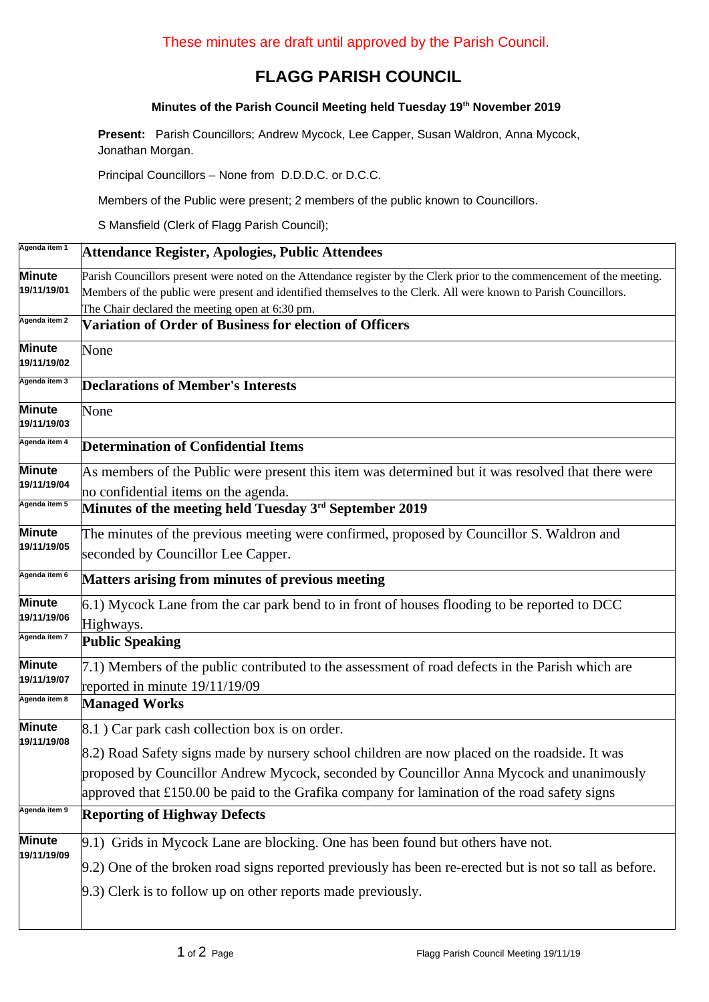## **FLAGG PARISH COUNCIL**

## **Minutes of the Parish Council Meeting held Tuesday 19th November 2019**

**Present:** Parish Councillors; Andrew Mycock, Lee Capper, Susan Waldron, Anna Mycock, Jonathan Morgan.

Principal Councillors – None from D.D.D.C. or D.C.C.

Members of the Public were present; 2 members of the public known to Councillors.

S Mansfield (Clerk of Flagg Parish Council);

| Agenda item 1         | Attendance Register, Apologies, Public Attendees                                                                                           |  |  |  |  |
|-----------------------|--------------------------------------------------------------------------------------------------------------------------------------------|--|--|--|--|
| Minute                | Parish Councillors present were noted on the Attendance register by the Clerk prior to the commencement of the meeting.                    |  |  |  |  |
| 19/11/19/01           | Members of the public were present and identified themselves to the Clerk. All were known to Parish Councillors.                           |  |  |  |  |
|                       | The Chair declared the meeting open at 6:30 pm.                                                                                            |  |  |  |  |
| Agenda item 2         | Variation of Order of Business for election of Officers                                                                                    |  |  |  |  |
| Minute<br>19/11/19/02 | None                                                                                                                                       |  |  |  |  |
| Agenda item 3         | <b>Declarations of Member's Interests</b>                                                                                                  |  |  |  |  |
| Minute<br>19/11/19/03 | None                                                                                                                                       |  |  |  |  |
| Agenda item 4         | <b>Determination of Confidential Items</b>                                                                                                 |  |  |  |  |
| Minute<br>19/11/19/04 | As members of the Public were present this item was determined but it was resolved that there were<br>no confidential items on the agenda. |  |  |  |  |
| Agenda item 5         | Minutes of the meeting held Tuesday 3rd September 2019                                                                                     |  |  |  |  |
| Minute<br>19/11/19/05 | The minutes of the previous meeting were confirmed, proposed by Councillor S. Waldron and                                                  |  |  |  |  |
|                       | seconded by Councillor Lee Capper.                                                                                                         |  |  |  |  |
| Agenda item 6         | <b>Matters arising from minutes of previous meeting</b>                                                                                    |  |  |  |  |
| Minute<br>19/11/19/06 | 6.1) Mycock Lane from the car park bend to in front of houses flooding to be reported to DCC                                               |  |  |  |  |
|                       | Highways.                                                                                                                                  |  |  |  |  |
| Agenda item 7         | <b>Public Speaking</b>                                                                                                                     |  |  |  |  |
| Minute<br>19/11/19/07 | 7.1) Members of the public contributed to the assessment of road defects in the Parish which are                                           |  |  |  |  |
|                       | reported in minute 19/11/19/09                                                                                                             |  |  |  |  |
| Agenda item 8         | <b>Managed Works</b>                                                                                                                       |  |  |  |  |
| Minute<br>19/11/19/08 | 8.1 ) Car park cash collection box is on order.                                                                                            |  |  |  |  |
|                       | 8.2) Road Safety signs made by nursery school children are now placed on the roadside. It was                                              |  |  |  |  |
|                       | proposed by Councillor Andrew Mycock, seconded by Councillor Anna Mycock and unanimously                                                   |  |  |  |  |
|                       | approved that £150.00 be paid to the Grafika company for lamination of the road safety signs                                               |  |  |  |  |
| Agenda item 9         | <b>Reporting of Highway Defects</b>                                                                                                        |  |  |  |  |
| Minute<br>19/11/19/09 | 9.1) Grids in Mycock Lane are blocking. One has been found but others have not.                                                            |  |  |  |  |
|                       | 9.2) One of the broken road signs reported previously has been re-erected but is not so tall as before.                                    |  |  |  |  |
|                       | 9.3) Clerk is to follow up on other reports made previously.                                                                               |  |  |  |  |
|                       |                                                                                                                                            |  |  |  |  |